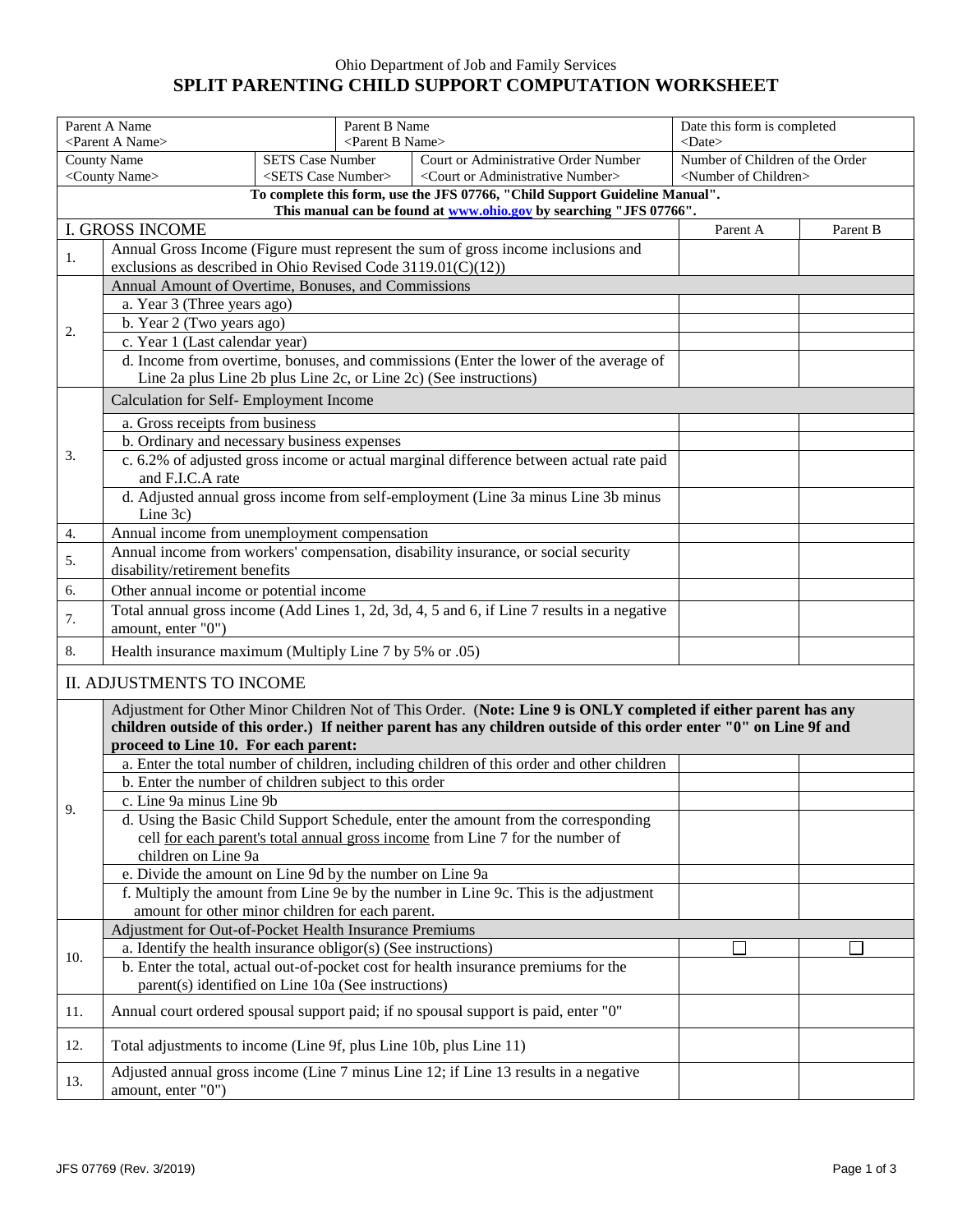## Ohio Department of Job and Family Services **SPLIT PARENTING CHILD SUPPORT COMPUTATION WORKSHEET**

| Parent A Name<br><parent a="" name=""></parent>                    |                                                                                                                      |                                                                                   | Parent B Name<br><parent b="" name=""></parent> |                                                                                                                 |          | Date this form is completed<br>$<$ Date $>$ |  |  |  |
|--------------------------------------------------------------------|----------------------------------------------------------------------------------------------------------------------|-----------------------------------------------------------------------------------|-------------------------------------------------|-----------------------------------------------------------------------------------------------------------------|----------|---------------------------------------------|--|--|--|
| <b>County Name</b><br><b>SETS Case Number</b>                      |                                                                                                                      |                                                                                   |                                                 | Court or Administrative Order Number                                                                            |          | Number of Children of the Order             |  |  |  |
| <county name=""><br/><sets case="" number=""></sets></county>      |                                                                                                                      |                                                                                   |                                                 | <court administrative="" number="" or=""></court>                                                               |          | <number children="" of=""></number>         |  |  |  |
|                                                                    | To complete this form, use the JFS 07766, "Child Support Guideline Manual".                                          |                                                                                   |                                                 |                                                                                                                 |          |                                             |  |  |  |
| This manual can be found at www.ohio.gov by searching "JFS 07766". |                                                                                                                      |                                                                                   |                                                 |                                                                                                                 |          |                                             |  |  |  |
|                                                                    | <b>I. GROSS INCOME</b>                                                                                               |                                                                                   |                                                 |                                                                                                                 | Parent A | Parent B                                    |  |  |  |
| 1.                                                                 | exclusions as described in Ohio Revised Code $3119.01(C)(12)$ )                                                      |                                                                                   |                                                 | Annual Gross Income (Figure must represent the sum of gross income inclusions and                               |          |                                             |  |  |  |
|                                                                    | Annual Amount of Overtime, Bonuses, and Commissions                                                                  |                                                                                   |                                                 |                                                                                                                 |          |                                             |  |  |  |
|                                                                    | a. Year 3 (Three years ago)                                                                                          |                                                                                   |                                                 |                                                                                                                 |          |                                             |  |  |  |
|                                                                    | b. Year 2 (Two years ago)                                                                                            |                                                                                   |                                                 |                                                                                                                 |          |                                             |  |  |  |
| 2.                                                                 | c. Year 1 (Last calendar year)                                                                                       |                                                                                   |                                                 |                                                                                                                 |          |                                             |  |  |  |
|                                                                    | d. Income from overtime, bonuses, and commissions (Enter the lower of the average of                                 |                                                                                   |                                                 |                                                                                                                 |          |                                             |  |  |  |
|                                                                    |                                                                                                                      | Line 2a plus Line 2b plus Line 2c, or Line 2c) (See instructions)                 |                                                 |                                                                                                                 |          |                                             |  |  |  |
|                                                                    | Calculation for Self- Employment Income                                                                              |                                                                                   |                                                 |                                                                                                                 |          |                                             |  |  |  |
|                                                                    | a. Gross receipts from business                                                                                      |                                                                                   |                                                 |                                                                                                                 |          |                                             |  |  |  |
|                                                                    | b. Ordinary and necessary business expenses                                                                          |                                                                                   |                                                 |                                                                                                                 |          |                                             |  |  |  |
| 3.                                                                 |                                                                                                                      |                                                                                   |                                                 | c. 6.2% of adjusted gross income or actual marginal difference between actual rate paid                         |          |                                             |  |  |  |
|                                                                    | and F.I.C.A rate                                                                                                     |                                                                                   |                                                 |                                                                                                                 |          |                                             |  |  |  |
|                                                                    |                                                                                                                      | d. Adjusted annual gross income from self-employment (Line 3a minus Line 3b minus |                                                 |                                                                                                                 |          |                                             |  |  |  |
|                                                                    | Line 3c)                                                                                                             |                                                                                   |                                                 |                                                                                                                 |          |                                             |  |  |  |
| 4.                                                                 | Annual income from unemployment compensation                                                                         |                                                                                   |                                                 |                                                                                                                 |          |                                             |  |  |  |
| 5.                                                                 | Annual income from workers' compensation, disability insurance, or social security<br>disability/retirement benefits |                                                                                   |                                                 |                                                                                                                 |          |                                             |  |  |  |
| 6.                                                                 | Other annual income or potential income                                                                              |                                                                                   |                                                 |                                                                                                                 |          |                                             |  |  |  |
|                                                                    | Total annual gross income (Add Lines 1, 2d, 3d, 4, 5 and 6, if Line 7 results in a negative                          |                                                                                   |                                                 |                                                                                                                 |          |                                             |  |  |  |
| 7.                                                                 | amount, enter "0")                                                                                                   |                                                                                   |                                                 |                                                                                                                 |          |                                             |  |  |  |
| 8.                                                                 | Health insurance maximum (Multiply Line 7 by 5% or .05)                                                              |                                                                                   |                                                 |                                                                                                                 |          |                                             |  |  |  |
|                                                                    | <b>II. ADJUSTMENTS TO INCOME</b>                                                                                     |                                                                                   |                                                 |                                                                                                                 |          |                                             |  |  |  |
|                                                                    |                                                                                                                      |                                                                                   |                                                 | Adjustment for Other Minor Children Not of This Order. (Note: Line 9 is ONLY completed if either parent has any |          |                                             |  |  |  |
|                                                                    | children outside of this order.) If neither parent has any children outside of this order enter "0" on Line 9f and   |                                                                                   |                                                 |                                                                                                                 |          |                                             |  |  |  |
|                                                                    | proceed to Line 10. For each parent:                                                                                 |                                                                                   |                                                 |                                                                                                                 |          |                                             |  |  |  |
|                                                                    |                                                                                                                      |                                                                                   |                                                 | a. Enter the total number of children, including children of this order and other children                      |          |                                             |  |  |  |
|                                                                    | b. Enter the number of children subject to this order                                                                |                                                                                   |                                                 |                                                                                                                 |          |                                             |  |  |  |
| $\mathbf Q$                                                        | c. Line 9a minus Line 9b                                                                                             |                                                                                   |                                                 |                                                                                                                 |          |                                             |  |  |  |
|                                                                    |                                                                                                                      |                                                                                   |                                                 | d. Using the Basic Child Support Schedule, enter the amount from the corresponding                              |          |                                             |  |  |  |
|                                                                    | cell for each parent's total annual gross income from Line 7 for the number of                                       |                                                                                   |                                                 |                                                                                                                 |          |                                             |  |  |  |
|                                                                    | children on Line 9a                                                                                                  |                                                                                   |                                                 |                                                                                                                 |          |                                             |  |  |  |
|                                                                    | e. Divide the amount on Line 9d by the number on Line 9a                                                             |                                                                                   |                                                 |                                                                                                                 |          |                                             |  |  |  |
|                                                                    |                                                                                                                      |                                                                                   |                                                 | f. Multiply the amount from Line 9e by the number in Line 9c. This is the adjustment                            |          |                                             |  |  |  |
|                                                                    | amount for other minor children for each parent.<br>Adjustment for Out-of-Pocket Health Insurance Premiums           |                                                                                   |                                                 |                                                                                                                 |          |                                             |  |  |  |
|                                                                    | a. Identify the health insurance obligor(s) (See instructions)                                                       |                                                                                   |                                                 |                                                                                                                 |          |                                             |  |  |  |
| 10.                                                                |                                                                                                                      |                                                                                   |                                                 | b. Enter the total, actual out-of-pocket cost for health insurance premiums for the                             |          |                                             |  |  |  |
|                                                                    | parent(s) identified on Line 10a (See instructions)                                                                  |                                                                                   |                                                 |                                                                                                                 |          |                                             |  |  |  |
| 11.                                                                |                                                                                                                      |                                                                                   |                                                 | Annual court ordered spousal support paid; if no spousal support is paid, enter "0"                             |          |                                             |  |  |  |
| 12.                                                                | Total adjustments to income (Line 9f, plus Line 10b, plus Line 11)                                                   |                                                                                   |                                                 |                                                                                                                 |          |                                             |  |  |  |
| 13.                                                                |                                                                                                                      |                                                                                   |                                                 | Adjusted annual gross income (Line 7 minus Line 12; if Line 13 results in a negative                            |          |                                             |  |  |  |
|                                                                    | amount, enter "0")                                                                                                   |                                                                                   |                                                 |                                                                                                                 |          |                                             |  |  |  |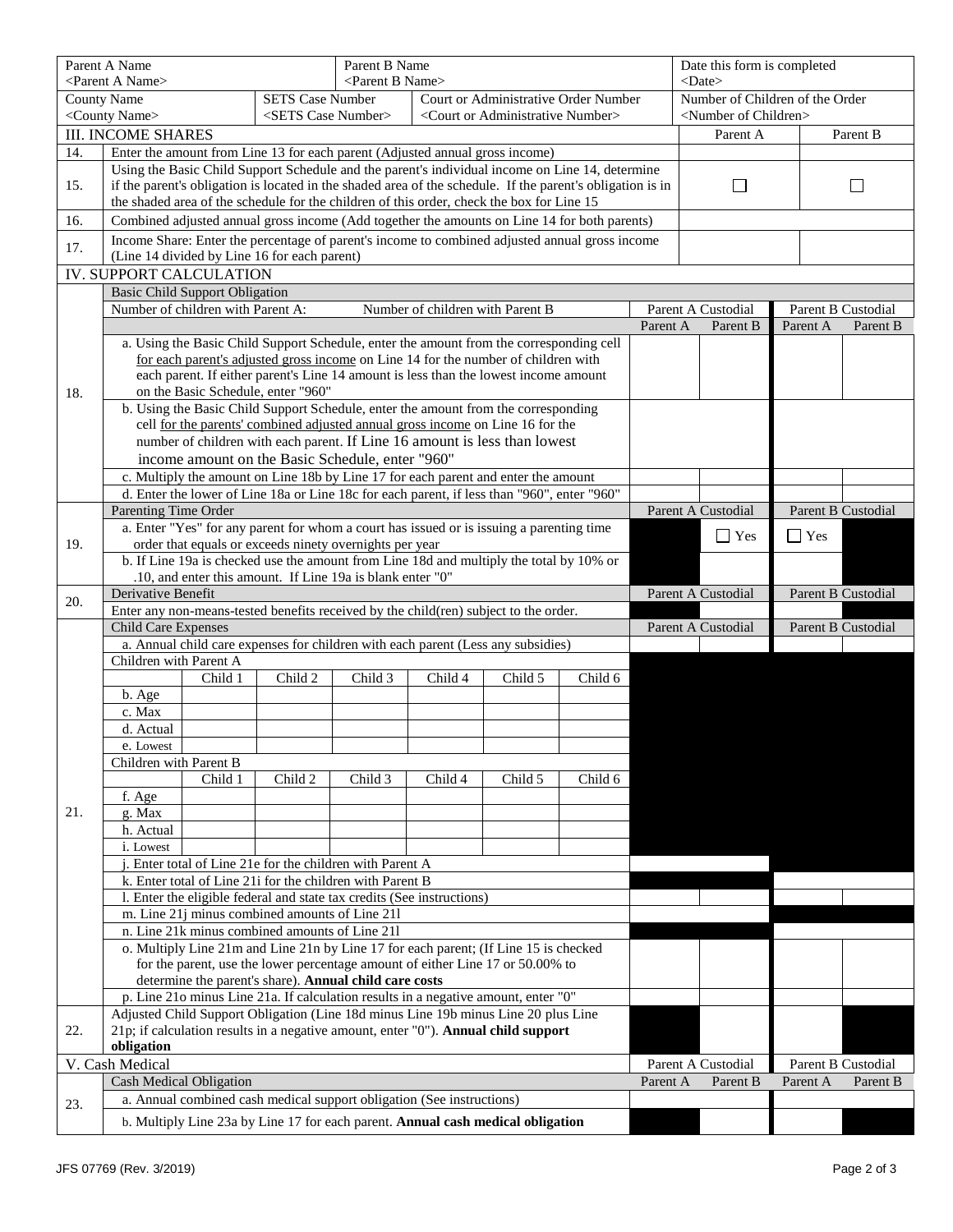|     | Parent A Name<br><parent a="" name=""></parent>                                                                                                                                                         |                                                                                                                                                |                                                                              | Parent B Name<br><parent b="" name=""></parent>   |         |                                                                                             |                                     | Date this form is completed<br>$<$ Date $>$ |                    |                    |                    |                    |  |
|-----|---------------------------------------------------------------------------------------------------------------------------------------------------------------------------------------------------------|------------------------------------------------------------------------------------------------------------------------------------------------|------------------------------------------------------------------------------|---------------------------------------------------|---------|---------------------------------------------------------------------------------------------|-------------------------------------|---------------------------------------------|--------------------|--------------------|--------------------|--------------------|--|
|     | <b>County Name</b><br><b>SETS Case Number</b>                                                                                                                                                           |                                                                                                                                                |                                                                              | Court or Administrative Order Number              |         |                                                                                             | Number of Children of the Order     |                                             |                    |                    |                    |                    |  |
|     | <county name=""><br/><sets case="" number=""></sets></county>                                                                                                                                           |                                                                                                                                                |                                                                              | <court administrative="" number="" or=""></court> |         |                                                                                             | <number children="" of=""></number> |                                             |                    |                    |                    |                    |  |
|     |                                                                                                                                                                                                         | <b>III. INCOME SHARES</b>                                                                                                                      |                                                                              |                                                   |         | Parent A                                                                                    |                                     | Parent B                                    |                    |                    |                    |                    |  |
| 14. |                                                                                                                                                                                                         |                                                                                                                                                | Enter the amount from Line 13 for each parent (Adjusted annual gross income) |                                                   |         |                                                                                             |                                     |                                             |                    |                    |                    |                    |  |
|     | Using the Basic Child Support Schedule and the parent's individual income on Line 14, determine                                                                                                         |                                                                                                                                                |                                                                              |                                                   |         |                                                                                             |                                     |                                             |                    |                    |                    |                    |  |
| 15. | if the parent's obligation is located in the shaded area of the schedule. If the parent's obligation is in<br>the shaded area of the schedule for the children of this order, check the box for Line 15 |                                                                                                                                                |                                                                              |                                                   |         |                                                                                             | $\Box$                              |                                             |                    |                    |                    |                    |  |
|     |                                                                                                                                                                                                         |                                                                                                                                                |                                                                              |                                                   |         |                                                                                             |                                     |                                             |                    |                    |                    |                    |  |
| 16. | Combined adjusted annual gross income (Add together the amounts on Line 14 for both parents)                                                                                                            |                                                                                                                                                |                                                                              |                                                   |         |                                                                                             |                                     |                                             |                    |                    |                    |                    |  |
| 17. |                                                                                                                                                                                                         | Income Share: Enter the percentage of parent's income to combined adjusted annual gross income<br>(Line 14 divided by Line 16 for each parent) |                                                                              |                                                   |         |                                                                                             |                                     |                                             |                    |                    |                    |                    |  |
|     | IV. SUPPORT CALCULATION                                                                                                                                                                                 |                                                                                                                                                |                                                                              |                                                   |         |                                                                                             |                                     |                                             |                    |                    |                    |                    |  |
|     |                                                                                                                                                                                                         | <b>Basic Child Support Obligation</b>                                                                                                          |                                                                              |                                                   |         |                                                                                             |                                     |                                             |                    |                    |                    |                    |  |
|     | Number of children with Parent A:<br>Number of children with Parent B                                                                                                                                   |                                                                                                                                                |                                                                              |                                                   |         |                                                                                             |                                     | Parent A Custodial                          |                    | Parent B Custodial |                    |                    |  |
|     |                                                                                                                                                                                                         |                                                                                                                                                |                                                                              |                                                   |         |                                                                                             |                                     | Parent A                                    | Parent B           |                    | Parent A           | Parent B           |  |
|     |                                                                                                                                                                                                         |                                                                                                                                                |                                                                              |                                                   |         | a. Using the Basic Child Support Schedule, enter the amount from the corresponding cell     |                                     |                                             |                    |                    |                    |                    |  |
|     |                                                                                                                                                                                                         |                                                                                                                                                |                                                                              |                                                   |         | for each parent's adjusted gross income on Line 14 for the number of children with          |                                     |                                             |                    |                    |                    |                    |  |
|     |                                                                                                                                                                                                         |                                                                                                                                                |                                                                              |                                                   |         | each parent. If either parent's Line 14 amount is less than the lowest income amount        |                                     |                                             |                    |                    |                    |                    |  |
| 18. |                                                                                                                                                                                                         |                                                                                                                                                | on the Basic Schedule, enter "960"                                           |                                                   |         | b. Using the Basic Child Support Schedule, enter the amount from the corresponding          |                                     |                                             |                    |                    |                    |                    |  |
|     |                                                                                                                                                                                                         |                                                                                                                                                |                                                                              |                                                   |         | cell for the parents' combined adjusted annual gross income on Line 16 for the              |                                     |                                             |                    |                    |                    |                    |  |
|     |                                                                                                                                                                                                         |                                                                                                                                                |                                                                              |                                                   |         | number of children with each parent. If Line 16 amount is less than lowest                  |                                     |                                             |                    |                    |                    |                    |  |
|     |                                                                                                                                                                                                         |                                                                                                                                                | income amount on the Basic Schedule, enter "960"                             |                                                   |         |                                                                                             |                                     |                                             |                    |                    |                    |                    |  |
|     |                                                                                                                                                                                                         |                                                                                                                                                |                                                                              |                                                   |         | c. Multiply the amount on Line 18b by Line 17 for each parent and enter the amount          |                                     |                                             |                    |                    |                    |                    |  |
|     |                                                                                                                                                                                                         |                                                                                                                                                |                                                                              |                                                   |         | d. Enter the lower of Line 18a or Line 18c for each parent, if less than "960", enter "960" |                                     |                                             |                    |                    |                    |                    |  |
|     | Parenting Time Order                                                                                                                                                                                    |                                                                                                                                                |                                                                              |                                                   |         |                                                                                             |                                     |                                             | Parent A Custodial |                    | Parent B Custodial |                    |  |
| 19. |                                                                                                                                                                                                         |                                                                                                                                                | order that equals or exceeds ninety overnights per year                      |                                                   |         | a. Enter "Yes" for any parent for whom a court has issued or is issuing a parenting time    |                                     |                                             | $\Box$ Yes         |                    | $\Box$ Yes         |                    |  |
|     |                                                                                                                                                                                                         |                                                                                                                                                |                                                                              |                                                   |         | b. If Line 19a is checked use the amount from Line 18d and multiply the total by 10% or     |                                     |                                             |                    |                    |                    |                    |  |
|     |                                                                                                                                                                                                         |                                                                                                                                                | .10, and enter this amount. If Line 19a is blank enter "0"                   |                                                   |         |                                                                                             |                                     |                                             |                    |                    |                    |                    |  |
| 20. | Derivative Benefit                                                                                                                                                                                      |                                                                                                                                                |                                                                              |                                                   |         |                                                                                             |                                     |                                             | Parent A Custodial |                    | Parent B Custodial |                    |  |
|     |                                                                                                                                                                                                         |                                                                                                                                                |                                                                              |                                                   |         | Enter any non-means-tested benefits received by the child(ren) subject to the order.        |                                     |                                             |                    |                    |                    |                    |  |
|     | <b>Child Care Expenses</b>                                                                                                                                                                              |                                                                                                                                                |                                                                              |                                                   |         |                                                                                             |                                     |                                             | Parent A Custodial |                    | Parent B Custodial |                    |  |
|     | a. Annual child care expenses for children with each parent (Less any subsidies)<br>Children with Parent A                                                                                              |                                                                                                                                                |                                                                              |                                                   |         |                                                                                             |                                     |                                             |                    |                    |                    |                    |  |
|     |                                                                                                                                                                                                         | Child 1                                                                                                                                        | Child 2                                                                      | Child 3                                           | Child 4 | Child 5                                                                                     | Child 6                             |                                             |                    |                    |                    |                    |  |
|     | b. Age                                                                                                                                                                                                  |                                                                                                                                                |                                                                              |                                                   |         |                                                                                             |                                     |                                             |                    |                    |                    |                    |  |
|     | c. Max                                                                                                                                                                                                  |                                                                                                                                                |                                                                              |                                                   |         |                                                                                             |                                     |                                             |                    |                    |                    |                    |  |
|     | d. Actual                                                                                                                                                                                               |                                                                                                                                                |                                                                              |                                                   |         |                                                                                             |                                     |                                             |                    |                    |                    |                    |  |
|     | e. Lowest                                                                                                                                                                                               |                                                                                                                                                |                                                                              |                                                   |         |                                                                                             |                                     |                                             |                    |                    |                    |                    |  |
|     | Children with Parent B<br>Child 1<br>Child 2<br>Child 3<br>Child 6<br>Child 4<br>Child 5                                                                                                                |                                                                                                                                                |                                                                              |                                                   |         |                                                                                             |                                     |                                             |                    |                    |                    |                    |  |
|     | f. Age                                                                                                                                                                                                  |                                                                                                                                                |                                                                              |                                                   |         |                                                                                             |                                     |                                             |                    |                    |                    |                    |  |
| 21. | g. Max                                                                                                                                                                                                  |                                                                                                                                                |                                                                              |                                                   |         |                                                                                             |                                     |                                             |                    |                    |                    |                    |  |
|     | h. Actual                                                                                                                                                                                               |                                                                                                                                                |                                                                              |                                                   |         |                                                                                             |                                     |                                             |                    |                    |                    |                    |  |
|     | i. Lowest                                                                                                                                                                                               |                                                                                                                                                |                                                                              |                                                   |         |                                                                                             |                                     |                                             |                    |                    |                    |                    |  |
|     |                                                                                                                                                                                                         | j. Enter total of Line 21e for the children with Parent A                                                                                      |                                                                              |                                                   |         |                                                                                             |                                     |                                             |                    |                    |                    |                    |  |
|     |                                                                                                                                                                                                         | k. Enter total of Line 21i for the children with Parent B                                                                                      |                                                                              |                                                   |         |                                                                                             |                                     |                                             |                    |                    |                    |                    |  |
|     |                                                                                                                                                                                                         | l. Enter the eligible federal and state tax credits (See instructions)                                                                         |                                                                              |                                                   |         |                                                                                             |                                     |                                             |                    |                    |                    |                    |  |
|     | m. Line 21j minus combined amounts of Line 211<br>n. Line 21k minus combined amounts of Line 21l                                                                                                        |                                                                                                                                                |                                                                              |                                                   |         |                                                                                             |                                     |                                             |                    |                    |                    |                    |  |
|     | o. Multiply Line 21m and Line 21n by Line 17 for each parent; (If Line 15 is checked                                                                                                                    |                                                                                                                                                |                                                                              |                                                   |         |                                                                                             |                                     |                                             |                    |                    |                    |                    |  |
|     | for the parent, use the lower percentage amount of either Line 17 or 50.00% to                                                                                                                          |                                                                                                                                                |                                                                              |                                                   |         |                                                                                             |                                     |                                             |                    |                    |                    |                    |  |
|     | determine the parent's share). Annual child care costs                                                                                                                                                  |                                                                                                                                                |                                                                              |                                                   |         |                                                                                             |                                     |                                             |                    |                    |                    |                    |  |
|     | p. Line 21o minus Line 21a. If calculation results in a negative amount, enter "0"                                                                                                                      |                                                                                                                                                |                                                                              |                                                   |         |                                                                                             |                                     |                                             |                    |                    |                    |                    |  |
| 22. | Adjusted Child Support Obligation (Line 18d minus Line 19b minus Line 20 plus Line<br>21p; if calculation results in a negative amount, enter "0"). Annual child support                                |                                                                                                                                                |                                                                              |                                                   |         |                                                                                             |                                     |                                             |                    |                    |                    |                    |  |
|     | obligation                                                                                                                                                                                              |                                                                                                                                                |                                                                              |                                                   |         |                                                                                             |                                     |                                             |                    |                    |                    |                    |  |
|     | V. Cash Medical                                                                                                                                                                                         |                                                                                                                                                |                                                                              |                                                   |         |                                                                                             |                                     |                                             | Parent A Custodial |                    |                    | Parent B Custodial |  |
|     | Cash Medical Obligation                                                                                                                                                                                 |                                                                                                                                                |                                                                              |                                                   |         |                                                                                             |                                     | Parent A                                    | Parent B           |                    | Parent A           | Parent B           |  |
| 23. | a. Annual combined cash medical support obligation (See instructions)                                                                                                                                   |                                                                                                                                                |                                                                              |                                                   |         |                                                                                             |                                     |                                             |                    |                    |                    |                    |  |
|     | b. Multiply Line 23a by Line 17 for each parent. Annual cash medical obligation                                                                                                                         |                                                                                                                                                |                                                                              |                                                   |         |                                                                                             |                                     |                                             |                    |                    |                    |                    |  |